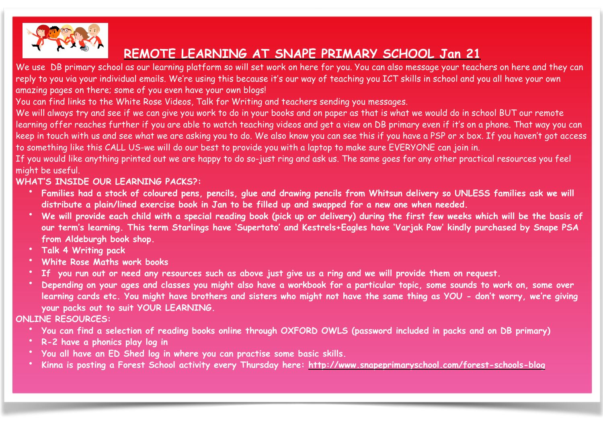

# **REMOTE LEARNING AT SNAPE PRIMARY SCHOOL Jan 21**

We use DB primary school as our learning platform so will set work on here for you. You can also message your teachers on here and they can reply to you via your individual emails. We're using this because it's our way of teaching you ICT skills in school and you all have your own amazing pages on there; some of you even have your own blogs!

You can find links to the White Rose Videos, Talk for Writing and teachers sending you messages.

We will always try and see if we can give you work to do in your books and on paper as that is what we would do in school BUT our remote learning offer reaches further if you are able to watch teaching videos and get a view on DB primary even if it's on a phone. That way you can keep in touch with us and see what we are asking you to do. We also know you can see this if you have a PSP or x box. If you haven't got access to something like this CALL US-we will do our best to provide you with a laptop to make sure EVERYONE can join in.

If you would like anything printed out we are happy to do so-just ring and ask us. The same goes for any other practical resources you feel might be useful.

# **WHAT'S INSIDE OUR LEARNING PACKS?:**

- **Families had a stock of coloured pens, pencils, glue and drawing pencils from Whitsun delivery so UNLESS families ask we will distribute a plain/lined exercise book in Jan to be filled up and swapped for a new one when needed.**
- **We will provide each child with a special reading book (pick up or delivery) during the first few weeks which will be the basis of our term's learning. This term Starlings have 'Supertato' and Kestrels+Eagles have 'Varjak Paw' kindly purchased by Snape PSA from Aldeburgh book shop.**
- **Talk 4 Writing pack**
- **White Rose Maths work books**
- If you run out or need any resources such as above just give us a ring and we will provide them on request.
- **Depending on your ages and classes you might also have a workbook for a particular topic, some sounds to work on, some over learning cards etc. You might have brothers and sisters who might not have the same thing as YOU - don't worry, we're giving your packs out to suit YOUR LEARNING.**

Page 1 of 4

**ONLINE RESOURCES:** 

- **You can find a selection of reading books online through OXFORD OWLS (password included in packs and on DB primary)**
- **R-2 have a phonics play log in**
- **You all have an ED Shed log in where you can practise some basic skills.**
- **Kinna is posting a Forest School activity every Thursday here:<http://www.snapeprimaryschool.com/forest-schools-blog>**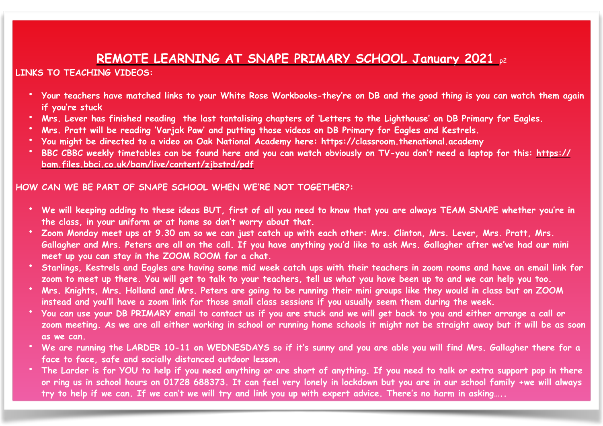# **REMOTE LEARNING AT SNAPE PRIMARY SCHOOL January 2021** p2

**LINKS TO TEACHING VIDEOS:** 

- **Your teachers have matched links to your White Rose Workbooks-they're on DB and the good thing is you can watch them again if you're stuck**
- **Mrs. Lever has finished reading the last tantalising chapters of 'Letters to the Lighthouse' on DB Primary for Eagles.**
- **Mrs. Pratt will be reading 'Varjak Paw' and putting those videos on DB Primary for Eagles and Kestrels.**
- **You might be directed to a video on Oak National Academy here: https://classroom.thenational.academy**
- **BBC CBBC weekly timetables can be found here and you can watch obviously on TV-you don't need a laptop for this: [https://](https://bam.files.bbci.co.uk/bam/live/content/zjbstrd/pdf) [bam.files.bbci.co.uk/bam/live/content/zjbstrd/pdf](https://bam.files.bbci.co.uk/bam/live/content/zjbstrd/pdf)**

#### **HOW CAN WE BE PART OF SNAPE SCHOOL WHEN WE'RE NOT TOGETHER?:**

- **We will keeping adding to these ideas BUT, first of all you need to know that you are always TEAM SNAPE whether you're in the class, in your uniform or at home so don't worry about that.**
- **Zoom Monday meet ups at 9.30 am so we can just catch up with each other: Mrs. Clinton, Mrs. Lever, Mrs. Pratt, Mrs. Gallagher and Mrs. Peters are all on the call. If you have anything you'd like to ask Mrs. Gallagher after we've had our mini meet up you can stay in the ZOOM ROOM for a chat.**
- **Starlings, Kestrels and Eagles are having some mid week catch ups with their teachers in zoom rooms and have an email link for zoom to meet up there. You will get to talk to your teachers, tell us what you have been up to and we can help you too.**
- **Mrs. Knights, Mrs. Holland and Mrs. Peters are going to be running their mini groups like they would in class but on ZOOM instead and you'll have a zoom link for those small class sessions if you usually seem them during the week.**
- **You can use your DB PRIMARY email to contact us if you are stuck and we will get back to you and either arrange a call or zoom meeting. As we are all either working in school or running home schools it might not be straight away but it will be as soon as we can.**
- **We are running the LARDER 10-11 on WEDNESDAYS so if it's sunny and you are able you will find Mrs. Gallagher there for a face to face, safe and socially distanced outdoor lesson.**
- **The Larder is for YOU to help if you need anything or are short of anything. If you need to talk or extra support pop in there or ring us in school hours on 01728 688373. It can feel very lonely in lockdown but you are in our school family +we will always try to help if we can. If we can't we will try and link you up with expert advice. There's no harm in asking…..**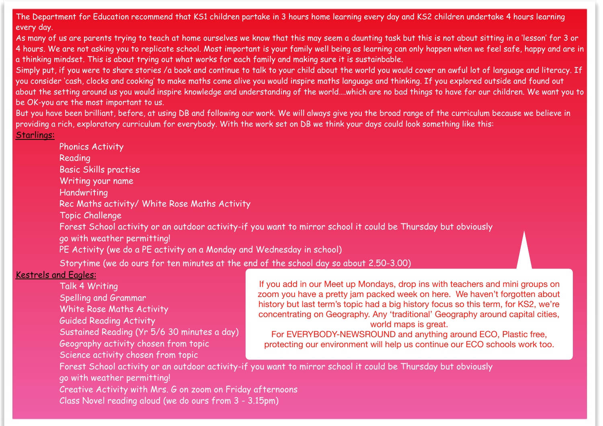The Department for Education recommend that KS1 children partake in 3 hours home learning every day and KS2 children undertake 4 hours learning every day.

As many of us are parents trying to teach at home ourselves we know that this may seem a daunting task but this is not about sitting in a 'lesson' for 3 or 4 hours. We are not asking you to replicate school. Most important is your family well being as learning can only happen when we feel safe, happy and are in a thinking mindset. This is about trying out what works for each family and making sure it is sustainbable.

Simply put, if you were to share stories /a book and continue to talk to your child about the world you would cover an awful lot of language and literacy. If you consider 'cash, clocks and cooking' to make maths come alive you would inspire maths language and thinking. If you explored outside and found out about the setting around us you would inspire knowledge and understanding of the world….which are no bad things to have for our children. We want you to be OK-you are the most important to us.

But you have been brilliant, before, at using DB and following our work. We will always give you the broad range of the curriculum because we believe in providing a rich, exploratory curriculum for everybody. With the work set on DB we think your days could look something like this:

Starlings:

| <b>THUITICS ACTIVITY</b>                                                                                                                     |
|----------------------------------------------------------------------------------------------------------------------------------------------|
| Reading                                                                                                                                      |
| Basic Skills practise                                                                                                                        |
| Writing your name                                                                                                                            |
| Handwriting                                                                                                                                  |
| Rec Maths activity/ White Rose Maths Activity                                                                                                |
| Topic Challenge                                                                                                                              |
| Forest School activity or an outdoor activity-if you want to mirror school it could be Thursday but obviously<br>go with weather permitting! |
| PE Activity (we do a PE activity on a Monday and Wednesday in school)                                                                        |
| Storytime (we do ours for ten minutes at the end of the school day so about 2.50-3.00)                                                       |
| Kestrels and Fagles:                                                                                                                         |

# Kestrels an

 Talk 4 Writing Spelling and Grammar

Phonics Activity

White Rose Maths Activity

Guided Reading Activity

Sustained Reading (Yr 5/6 30 minutes a day)

Geography activity chosen from topic

Science activity chosen from topic

If you add in our Meet up Mondays, drop ins with teachers and mini groups on zoom you have a pretty jam packed week on here. We haven't forgotten about history but last term's topic had a big history focus so this term, for KS2, we're concentrating on Geography. Any 'traditional' Geography around capital cities, world maps is great.

For EVERYBODY-NEWSROUND and anything around ECO, Plastic free, protecting our environment will help us continue our ECO schools work too.

 Forest School activity or an outdoor activity-if you want to mirror school it could be Thursday but obviously go with weather permitting!

 Creative Activity with Mrs. G on zoom on Friday afternoons Class Novel reading aloud (we do ours from 3 - 3.15pm)